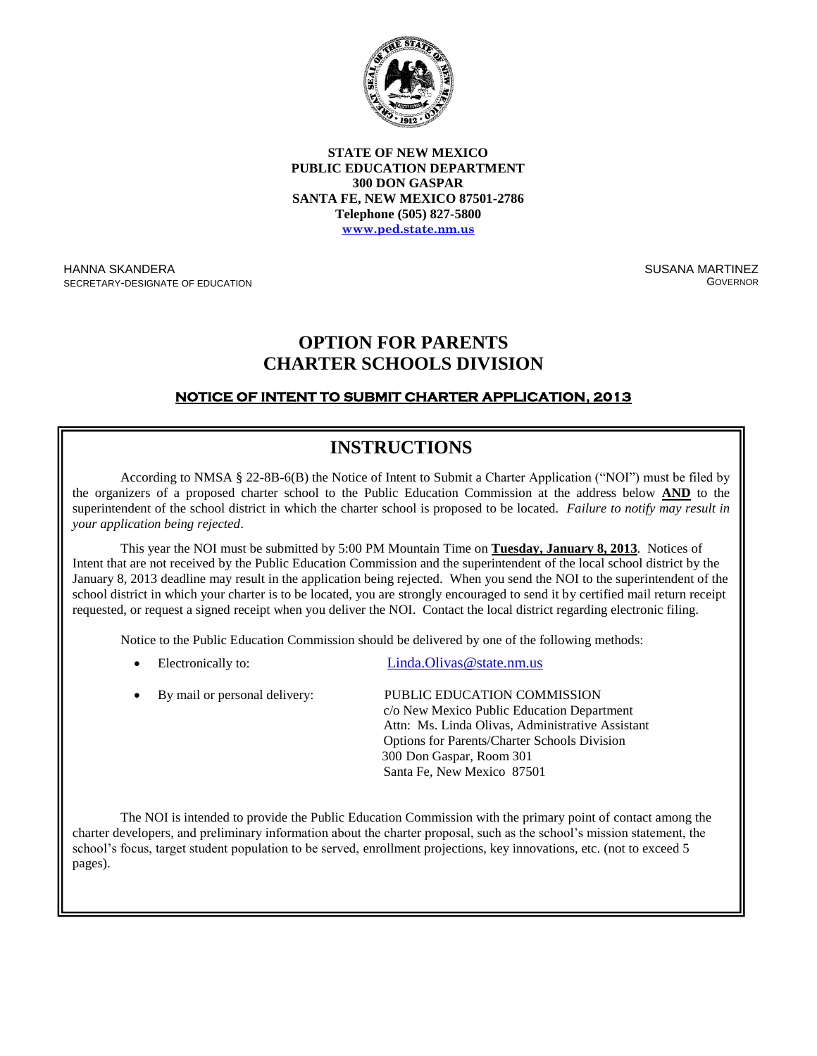

**STATE OF NEW MEXICO PUBLIC EDUCATION DEPARTMENT 300 DON GASPAR SANTA FE, NEW MEXICO 87501-2786 Telephone (505) 827-5800 www.ped.state.nm.us**

HANNA SKANDERA SECRETARY-DESIGNATE OF EDUCATION SUSANA MARTINEZ **GOVERNOR** 

## **OPTION FOR PARENTS CHARTER SCHOOLS DIVISION**

#### SECRETARY OF EDUCATION MARTINEZ **NOTICE OF INTENT TO SUBMIT CHARTER APPLICATION, 2013**

# **INSTRUCTIONS**

According to NMSA § 22-8B-6(B) the Notice of Intent to Submit a Charter Application ("NOI") must be filed by the organizers of a proposed charter school to the Public Education Commission at the address below **AND** to the superintendent of the school district in which the charter school is proposed to be located. *Failure to notify may result in your application being rejected*.

This year the NOI must be submitted by 5:00 PM Mountain Time on **Tuesday, January 8, 2013**. Notices of Intent that are not received by the Public Education Commission and the superintendent of the local school district by the January 8, 2013 deadline may result in the application being rejected. When you send the NOI to the superintendent of the school district in which your charter is to be located, you are strongly encouraged to send it by certified mail return receipt requested, or request a signed receipt when you deliver the NOI. Contact the local district regarding electronic filing.

Notice to the Public Education Commission should be delivered by one of the following methods:

- Electronically to: Linda.Olivas @state.nm.us
- By mail or personal delivery: PUBLIC EDUCATION COMMISSION c/o New Mexico Public Education Department Attn: Ms. Linda Olivas, Administrative Assistant Options for Parents/Charter Schools Division 300 Don Gaspar, Room 301 Santa Fe, New Mexico 87501

The NOI is intended to provide the Public Education Commission with the primary point of contact among the charter developers, and preliminary information about the charter proposal, such as the school's mission statement, the school's focus, target student population to be served, enrollment projections, key innovations, etc. (not to exceed 5  $\text{ges}$ ). pages).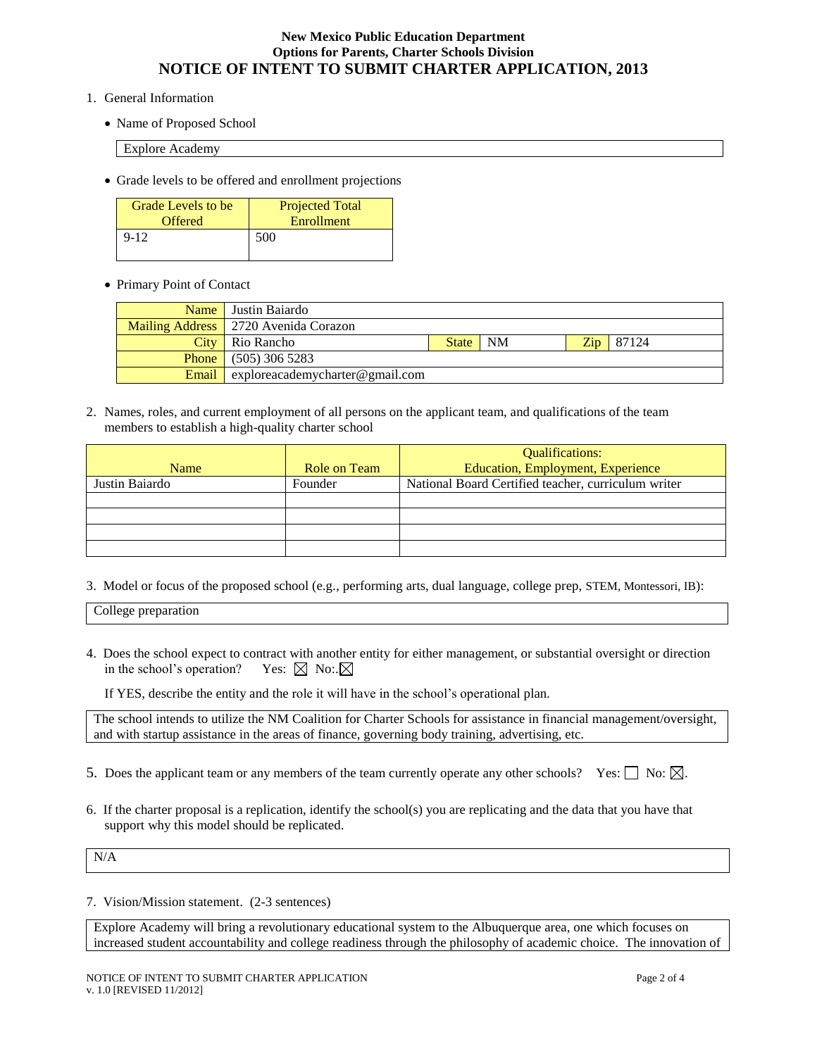#### **New Mexico Public Education Department Options for Parents, Charter Schools Division NOTICE OF INTENT TO SUBMIT CHARTER APPLICATION, 2013**

- 1. General Information
	- Name of Proposed School

Explore Academy

Grade levels to be offered and enrollment projections

| Grade Levels to be | <b>Projected Total</b> |
|--------------------|------------------------|
| Offered            | Enrollment             |
| $9-12$             | 500                    |

• Primary Point of Contact

|       | Name Justin Baiardo                    |            |  |  |             |
|-------|----------------------------------------|------------|--|--|-------------|
|       | Mailing Address   2720 Avenida Corazon |            |  |  |             |
|       | <b>City</b> Rio Rancho                 | State   NM |  |  | $Zip$ 87124 |
|       | <b>Phone</b> (505) 306 5283            |            |  |  |             |
| Email | exploreacademycharter@gmail.com        |            |  |  |             |

2. Names, roles, and current employment of all persons on the applicant team, and qualifications of the team members to establish a high-quality charter school

|                |              | <b>Qualifications:</b>                              |  |
|----------------|--------------|-----------------------------------------------------|--|
| Name           | Role on Team | <b>Education, Employment, Experience</b>            |  |
| Justin Baiardo | Founder      | National Board Certified teacher, curriculum writer |  |
|                |              |                                                     |  |
|                |              |                                                     |  |
|                |              |                                                     |  |
|                |              |                                                     |  |

3. Model or focus of the proposed school (e.g., performing arts, dual language, college prep, STEM, Montessori, IB):

College preparation

4. Does the school expect to contract with another entity for either management, or substantial oversight or direction in the school's operation? Yes:  $\boxtimes$  No:. $\boxtimes$ 

If YES, describe the entity and the role it will have in the school's operational plan.

The school intends to utilize the NM Coalition for Charter Schools for assistance in financial management/oversight, and with startup assistance in the areas of finance, governing body training, advertising, etc.

- 5. Does the applicant team or any members of the team currently operate any other schools? Yes:  $\Box$  No:  $\boxtimes$ .
- 6. If the charter proposal is a replication, identify the school(s) you are replicating and the data that you have that support why this model should be replicated.

N/A

7. Vision/Mission statement. (2-3 sentences)

Explore Academy will bring a revolutionary educational system to the Albuquerque area, one which focuses on increased student accountability and college readiness through the philosophy of academic choice. The innovation of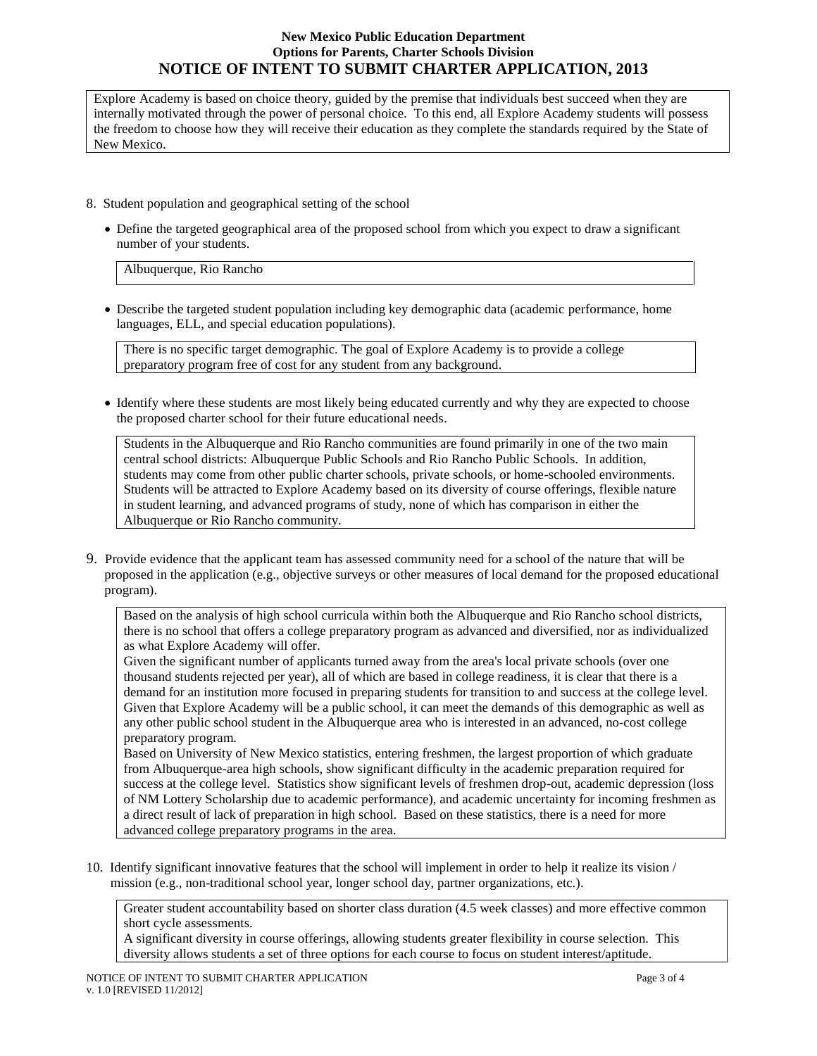### **New Mexico Public Education Department Options for Parents, Charter Schools Division NOTICE OF INTENT TO SUBMIT CHARTER APPLICATION, 2013**

Explore Academy is based on choice theory, guided by the premise that individuals best succeed when they are internally motivated through the power of personal choice. To this end, all Explore Academy students will possess the freedom to choose how they will receive their education as they complete the standards required by the State of New Mexico.

- 8. Student population and geographical setting of the school
	- Define the targeted geographical area of the proposed school from which you expect to draw a significant number of your students.

Albuquerque, Rio Rancho

 Describe the targeted student population including key demographic data (academic performance, home languages, ELL, and special education populations).

There is no specific target demographic. The goal of Explore Academy is to provide a college preparatory program free of cost for any student from any background.

 Identify where these students are most likely being educated currently and why they are expected to choose the proposed charter school for their future educational needs.

Students in the Albuquerque and Rio Rancho communities are found primarily in one of the two main central school districts: Albuquerque Public Schools and Rio Rancho Public Schools. In addition, students may come from other public charter schools, private schools, or home-schooled environments. Students will be attracted to Explore Academy based on its diversity of course offerings, flexible nature in student learning, and advanced programs of study, none of which has comparison in either the Albuquerque or Rio Rancho community.

9. Provide evidence that the applicant team has assessed community need for a school of the nature that will be proposed in the application (e.g., objective surveys or other measures of local demand for the proposed educational program).

Based on the analysis of high school curricula within both the Albuquerque and Rio Rancho school districts, there is no school that offers a college preparatory program as advanced and diversified, nor as individualized as what Explore Academy will offer.

Given the significant number of applicants turned away from the area's local private schools (over one thousand students rejected per year), all of which are based in college readiness, it is clear that there is a demand for an institution more focused in preparing students for transition to and success at the college level. Given that Explore Academy will be a public school, it can meet the demands of this demographic as well as any other public school student in the Albuquerque area who is interested in an advanced, no-cost college preparatory program.

Based on University of New Mexico statistics, entering freshmen, the largest proportion of which graduate from Albuquerque-area high schools, show significant difficulty in the academic preparation required for success at the college level. Statistics show significant levels of freshmen drop-out, academic depression (loss of NM Lottery Scholarship due to academic performance), and academic uncertainty for incoming freshmen as a direct result of lack of preparation in high school. Based on these statistics, there is a need for more advanced college preparatory programs in the area.

10. Identify significant innovative features that the school will implement in order to help it realize its vision / mission (e.g., non-traditional school year, longer school day, partner organizations, etc.).

Greater student accountability based on shorter class duration (4.5 week classes) and more effective common short cycle assessments.

A significant diversity in course offerings, allowing students greater flexibility in course selection. This diversity allows students a set of three options for each course to focus on student interest/aptitude.